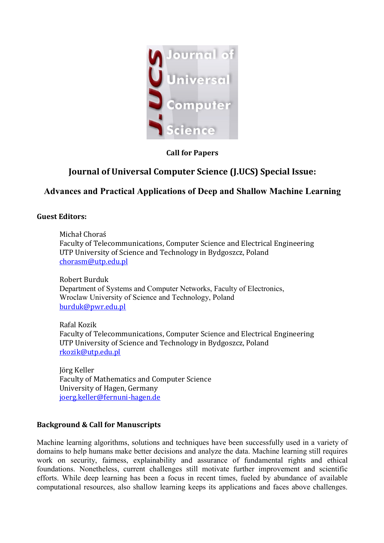

# **Call for Papers**

# **Journal of Universal Computer Science (J.UCS) Special Issue:**

# **Advances and Practical Applications of Deep and Shallow Machine Learning**

#### **Guest Editors:**

Michał Choraś Faculty of Telecommunications, Computer Science and Electrical Engineering UTP University of Science and Technology in Bydgoszcz, Poland [chorasm@utp.edu.pl](mailto:chorasm@utp.edu.pl)

Robert Burduk Department of Systems and Computer Networks, Faculty of Electronics, Wroclaw University of Science and Technology, Poland [burduk@pwr.edu.pl](mailto:manuel.grana@ehu.es)

Rafal Kozik Faculty of Telecommunications, Computer Science and Electrical Engineering UTP University of Science and Technology in Bydgoszcz, Poland [rkozik@utp.edu.pl](mailto:rkozik@utp.edu.pl)

Jörg Keller Faculty of Mathematics and Computer Science University of Hagen, Germany [joerg.keller@fernuni-hagen.de](mailto:joerg.keller@fernuni-hagen.de)

# **Background & Call for Manuscripts**

Machine learning algorithms, solutions and techniques have been successfully used in a variety of domains to help humans make better decisions and analyze the data. Machine learning still requires work on security, fairness, explainability and assurance of fundamental rights and ethical foundations. Nonetheless, current challenges still motivate further improvement and scientific efforts. While deep learning has been a focus in recent times, fueled by abundance of available computational resources, also shallow learning keeps its applications and faces above challenges.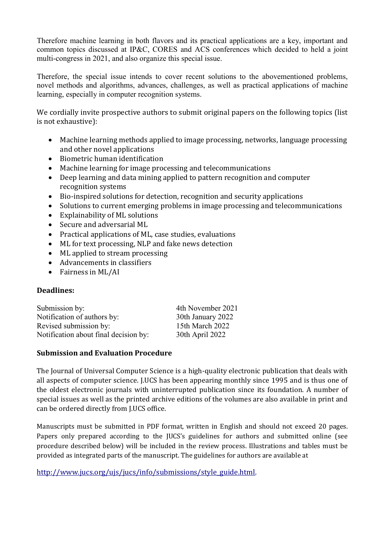Therefore machine learning in both flavors and its practical applications are a key, important and common topics discussed at IP&C, CORES and ACS conferences which decided to held a joint multi-congress in 2021, and also organize this special issue.

Therefore, the special issue intends to cover recent solutions to the abovementioned problems, novel methods and algorithms, advances, challenges, as well as practical applications of machine learning, especially in computer recognition systems.

We cordially invite prospective authors to submit original papers on the following topics (list is not exhaustive):

- Machine learning methods applied to image processing, networks, language processing and other novel applications
- Biometric human identification
- Machine learning for image processing and telecommunications
- Deep learning and data mining applied to pattern recognition and computer recognition systems
- Bio-inspired solutions for detection, recognition and security applications
- Solutions to current emerging problems in image processing and telecommunications
- Explainability of ML solutions
- Secure and adversarial ML
- Practical applications of ML, case studies, evaluations
- ML for text processing, NLP and fake news detection
- ML applied to stream processing
- Advancements in classifiers
- Fairness in ML/AI

# **Deadlines:**

| Submission by:                        | 4th November 2021 |
|---------------------------------------|-------------------|
| Notification of authors by:           | 30th January 2022 |
| Revised submission by:                | 15th March 2022   |
| Notification about final decision by: | 30th April 2022   |

# **Submission and Evaluation Procedure**

The Journal of Universal Computer Science is a high-quality electronic publication that deals with all aspects of computer science. J.UCS has been appearing monthly since 1995 and is thus one of the oldest electronic journals with uninterrupted publication since its foundation. A number of special issues as well as the printed archive editions of the volumes are also available in print and can be ordered directly from J.UCS office.

Manuscripts must be submitted in PDF format, written in English and should not exceed 20 pages. Papers only prepared according to the JUCS's guidelines for authors and submitted online (see procedure described below) will be included in the review process. Illustrations and tables must be provided as integrated parts of the manuscript. The guidelines for authors are available at

[http://www.jucs.org/ujs/jucs/info/submissions/style\\_guide.html.](http://www.jucs.org/ujs/jucs/info/submissions/style_guide.html)